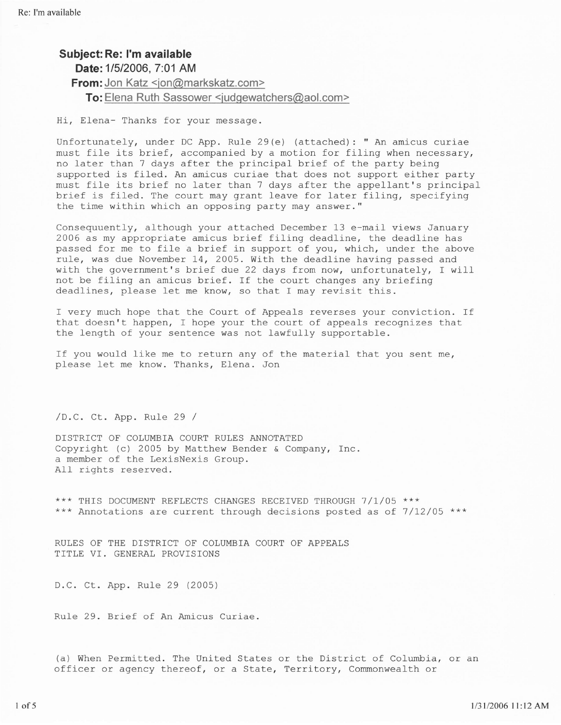## Subject: Re: I'm available

Date: 1/5/2006, 7:01 AM

**From:** Jon Katz <ion@markskatz.com>

To: Elena Ruth Sassower <iudgewatchers@aol.com>

Hi, Elena- Thanks for your message.

Unfortunately, under DC App. Rule 29(e) (attached): " An amicus curiae must file its brief, accompanied by a motion for filing when necessary, no fater than 7 days after the principal brief of the party being supported is filed. An amicus curiae that does not support either party must file its brief no later than 7 days after the appellant's principal brief is filed. The court may grant leave for later filing, specifying the time within which an opposing party may answer."

Consequuently, although your attached December 13 e-mail views January 2006 as my appropriate amicus brief filing deadline, the deadline has passed for me to file a brief in support of you. which, under the above rule, was due November 14, 2005. With the deadline having passed and with the government's brief due 22 days from now, unfortunately, I will not be filing an amicus brief. ff the court changes any briefing deadlines, please let me know, so that I may revisit this.

f very much hope that the Court of Appeals reverses your conviction. If that doesn't happen, I hope your the court of appeals recognizes that the length of your sentence was not lawfully supportable.

If you would like me to return any of the material that you sent me, please let me know. Thanks, Elena. Jon

/D.C. Ct. App. Rule 29 /

DISTRICT OF COLUMBIA COURT RULES ANNOTATED Copyright (c) 2005 by Matthew Bender & Company, Inc. a member of the LexisNexis Group. A11 rights reserved.

\*\*\* THIS DOCUMENT REFLECTS CHANGES RECEIVED THROUGH 7/1/05 \*\*\* \*\*\* Annotations are current through decisions posted as of 7/12/05 \*\*\*

RULES OF THE DISTRICT OF COLUMBIA COURT OF APPEALS TITLE VI. GENERAL PROVISIONS

D.C. Ct. App. Rule 29 (2005)

Rule 29. Brief of An Amicus Curiae.

(a) When Permitted. The United States or the District of Columbia, or an officer or agency thereof, or a State, Territory, Commonwealth or